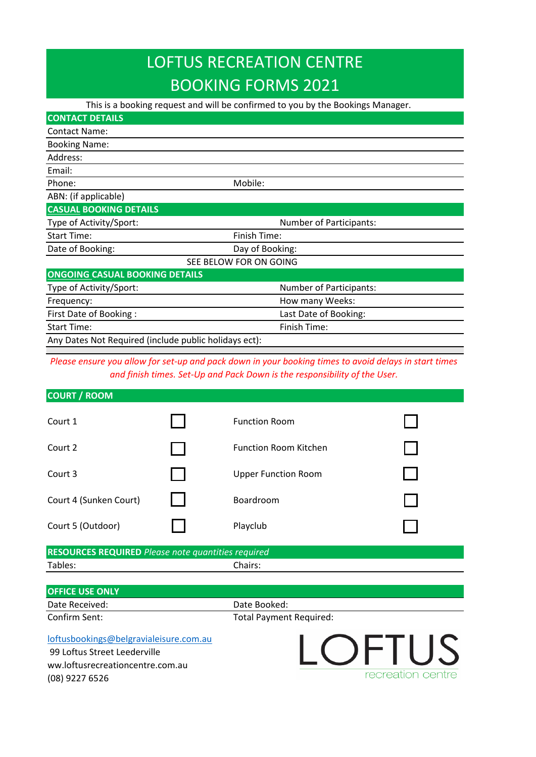# LOFTUS RECREATION CENTRE BOOKING FORMS 2021

 This is a booking request and will be confirmed to you by the Bookings Manager. Contact Name: Booking Name: Address: Email: Phone: Mobile: Mobile: Mobile: Mobile: Mobile: Mobile: Mobile: Mobile: Mobile: Mobile: Mobile: Mobile:  $\blacksquare$ ABN: (if applicable) **CASUAL BOOKING DETAILS** Type of Activity/Sport: Type of Activity/Sport: Start Time: Start Time: Finish Time: Date of Booking: Day of Booking: SEE BELOW FOR ON GOING **ONGOING CASUAL BOOKING DETAILS** Type of Activity/Sport: Number of Participants: Frequency: The example of the extension of the How many Weeks: First Date of Booking : Last Date of Booking: Start Time: Start Time: Finish Time: Any Dates Not Required (include public holidays ect): **CONTACT DETAILS**

*Please ensure you allow for set-up and pack down in your booking times to avoid delays in start times and finish times. Set-Up and Pack Down is the responsibility of the User.*

| <b>COURT / ROOM</b>                                       |                              |  |
|-----------------------------------------------------------|------------------------------|--|
| Court 1                                                   | <b>Function Room</b>         |  |
| Court 2                                                   | <b>Function Room Kitchen</b> |  |
| Court 3                                                   | <b>Upper Function Room</b>   |  |
| Court 4 (Sunken Court)                                    | Boardroom                    |  |
| Court 5 (Outdoor)                                         | Playclub                     |  |
| <b>RESOURCES REQUIRED</b> Please note quantities required |                              |  |
| Tables:                                                   | Chairs:                      |  |
| <b>OFFICE USE ONLY</b>                                    |                              |  |

Date Received: Case Controller and Date Booked: Confirm Sent: Total Payment Required: [loftusbookings@belgravialeisure.com.au](mailto:loftusbookings@belgravialeisure.com.au)

 99 Loftus Street Leederville ww.loftusrecreationcentre.com.au (08) 9227 6526

LOFTUS recreation centre